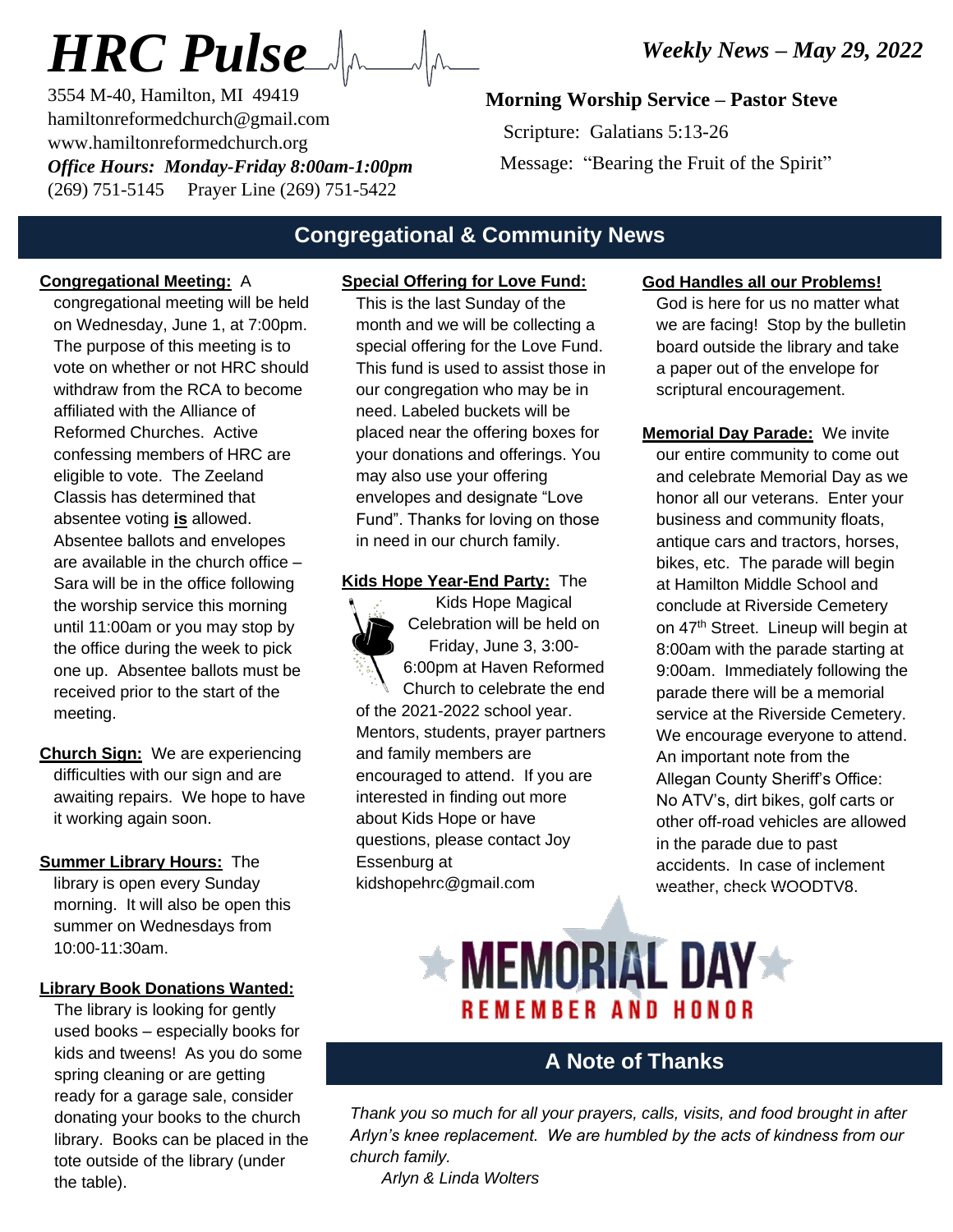# *HRC Pulse*

3554 M-40, Hamilton, MI 49419 hamiltonreformedchurch@gmail.com www.hamiltonreformedchurch.org *Office Hours: Monday-Friday 8:00am-1:00pm* (269) 751-5145 Prayer Line (269) 751-5422

#### **Morning Worship Service – Pastor Steve**

 Scripture: Galatians 5:13-26 Message: "Bearing the Fruit of the Spirit"

### **Congregational & Community News**

#### **Congregational Meeting:** A

congregational meeting will be held on Wednesday, June 1, at 7:00pm. The purpose of this meeting is to vote on whether or not HRC should withdraw from the RCA to become affiliated with the Alliance of Reformed Churches. Active confessing members of HRC are eligible to vote. The Zeeland Classis has determined that absentee voting **is** allowed. Absentee ballots and envelopes are available in the church office – Sara will be in the office following the worship service this morning until 11:00am or you may stop by the office during the week to pick one up. Absentee ballots must be received prior to the start of the meeting.

- **Church Sign:** We are experiencing difficulties with our sign and are awaiting repairs. We hope to have it working again soon.
- **Summer Library Hours:** The library is open every Sunday morning. It will also be open this summer on Wednesdays from 10:00-11:30am.

#### **Library Book Donations Wanted:**

The library is looking for gently used books – especially books for kids and tweens! As you do some spring cleaning or are getting ready for a garage sale, consider donating your books to the church library. Books can be placed in the tote outside of the library (under the table).

### **Special Offering for Love Fund:**

This is the last Sunday of the month and we will be collecting a special offering for the Love Fund. This fund is used to assist those in our congregation who may be in need. Labeled buckets will be placed near the offering boxes for your donations and offerings. You may also use your offering envelopes and designate "Love Fund". Thanks for loving on those in need in our church family.

#### **Kids Hope Year-End Party:** The



#### **God Handles all our Problems!**

God is here for us no matter what we are facing! Stop by the bulletin board outside the library and take a paper out of the envelope for scriptural encouragement.

**Memorial Day Parade:** We invite our entire community to come out and celebrate Memorial Day as we honor all our veterans. Enter your business and community floats, antique cars and tractors, horses, bikes, etc. The parade will begin at Hamilton Middle School and conclude at Riverside Cemetery on 47<sup>th</sup> Street. Lineup will begin at 8:00am with the parade starting at 9:00am. Immediately following the parade there will be a memorial service at the Riverside Cemetery. We encourage everyone to attend. An important note from the Allegan County Sheriff's Office: No ATV's, dirt bikes, golf carts or other off-road vehicles are allowed in the parade due to past accidents. In case of inclement weather, check WOODTV8.

## $\star$  MEMORIAL DAY $\star$ REMEMBER AND HONOR

#### **A Note of Thanks**

*Thank you so much for all your prayers, calls, visits, and food brought in after Arlyn's knee replacement. We are humbled by the acts of kindness from our church family.*

 *Arlyn & Linda Wolters*